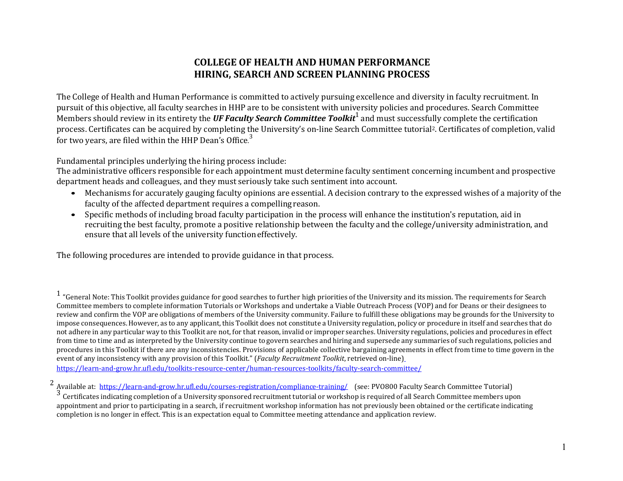## **COLLEGE OF HEALTH AND HUMAN PERFORMANCE HIRING, SEARCH AND SCREEN PLANNING PROCESS**

The College of Health and Human Performance is committed to actively pursuing excellence and diversity in faculty recruitment. In pursuit of this objective, all faculty searches in HHP are to be consistent with university policies and procedures. Search Committee Members should review in its entirety the *UF Faculty Search Committee Toolkit*1 and must successfully complete the certification process. Certificates can be acquired by completing the University's on-line Search Committee tutorial2. Certificates of completion, valid for two years, are filed within the HHP Dean's Office.<sup>3</sup>

Fundamental principles underlying the hiring process include:

The administrative officers responsible for each appointment must determine faculty sentiment concerning incumbent and prospective department heads and colleagues, and they must seriously take such sentiment into account.

- Mechanisms for accurately gauging faculty opinions are essential. A decision contrary to the expressed wishes of a majority of the faculty of the affected department requires a compelling reason.
- Specific methods of including broad faculty participation in the process will enhance the institution's reputation, aid in recruiting the best faculty, promote a positive relationship between the faculty and the college/university administration, and ensure that all levels of the university functioneffectively.

The following procedures are intended to provide guidance in that process.

 $1$  "General Note: This Toolkit provides guidance for good searches to further high priorities of the University and its mission. The requirements for Search Committee members to complete information Tutorials or Workshops and undertake a Viable Outreach Process (VOP) and for Deans or their designees to review and confirm the VOP are obligations of members of the University community. Failure to fulfill these obligations may be grounds for the University to impose consequences. However, as to any applicant, this Toolkit does not constitute a University regulation, policy or procedure in itself and searches that do not adhere in any particular way to this Toolkit are not, for that reason, invalid or improper searches. University regulations, policies and procedures in effect from time to time and as interpreted by the University continue to govern searches and hiring and supersede any summaries of such regulations, policies and procedures in this Toolkit if there are any inconsistencies. Provisions of applicable collective bargaining agre[em](http://www.aa.ufl.edu/Data/Sites/18/media/documents/faculty_toolkit.pdf)ents in effect from time to time govern in the event of any inconsistency with any provision of this Toolkit." (*Faculty Recruitment Toolkit*, retrieved on-line) <https://learn-and-grow.hr.ufl.edu/toolkits-resource-center/human-resources-toolkits/faculty-search-committee/>

<sup>&</sup>lt;sup>2</sup> Available at: <https://learn-and-grow.hr.ufl.edu/courses-registration/compliance-training/> (see: PVO800 Faculty Search Committee Tutorial)<br><sup>3</sup> Certificates indicating completion of a University sponsored recruitment tu appointment and prior to participating in a search, if recruitment workshop information has not previously been obtained or the certificate indicating completion is no longer in effect. This is an expectation equal to Committee meeting attendance and application review.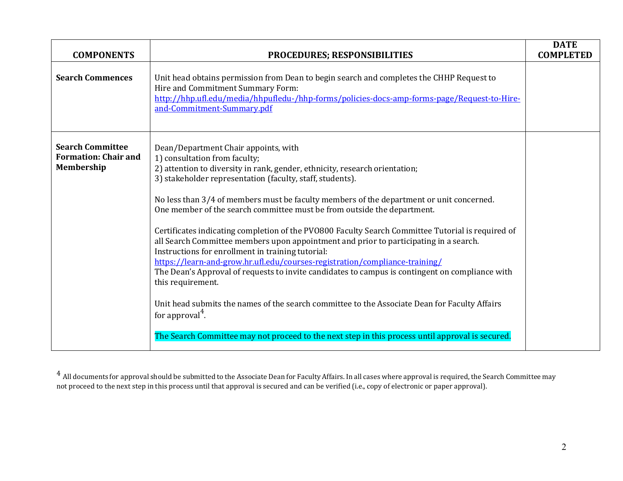| <b>COMPONENTS</b>                                                    | <b>PROCEDURES; RESPONSIBILITIES</b>                                                                                                                                                                                                                                                                                                                                                                                                                                                                                                                                                                                                                                                                                                                                                                                                                                                                                                                                                                                                                                           | <b>DATE</b><br><b>COMPLETED</b> |
|----------------------------------------------------------------------|-------------------------------------------------------------------------------------------------------------------------------------------------------------------------------------------------------------------------------------------------------------------------------------------------------------------------------------------------------------------------------------------------------------------------------------------------------------------------------------------------------------------------------------------------------------------------------------------------------------------------------------------------------------------------------------------------------------------------------------------------------------------------------------------------------------------------------------------------------------------------------------------------------------------------------------------------------------------------------------------------------------------------------------------------------------------------------|---------------------------------|
| <b>Search Commences</b>                                              | Unit head obtains permission from Dean to begin search and completes the CHHP Request to<br>Hire and Commitment Summary Form:<br>http://hhp.ufl.edu/media/hhpufledu-/hhp-forms/policies-docs-amp-forms-page/Request-to-Hire-<br>and-Commitment-Summary.pdf                                                                                                                                                                                                                                                                                                                                                                                                                                                                                                                                                                                                                                                                                                                                                                                                                    |                                 |
| <b>Search Committee</b><br><b>Formation: Chair and</b><br>Membership | Dean/Department Chair appoints, with<br>1) consultation from faculty;<br>2) attention to diversity in rank, gender, ethnicity, research orientation;<br>3) stakeholder representation (faculty, staff, students).<br>No less than 3/4 of members must be faculty members of the department or unit concerned.<br>One member of the search committee must be from outside the department.<br>Certificates indicating completion of the PV0800 Faculty Search Committee Tutorial is required of<br>all Search Committee members upon appointment and prior to participating in a search.<br>Instructions for enrollment in training tutorial:<br>https://learn-and-grow.hr.ufl.edu/courses-registration/compliance-training/<br>The Dean's Approval of requests to invite candidates to campus is contingent on compliance with<br>this requirement.<br>Unit head submits the names of the search committee to the Associate Dean for Faculty Affairs<br>for approval $4$ .<br>The Search Committee may not proceed to the next step in this process until approval is secured. |                                 |

 $^4$  All documents for approval should be submitted to the Associate Dean for Faculty Affairs. In all cases where approval is required, the Search Committee may not proceed to the next step in this process until that approval is secured and can be verified (i.e., copy of electronic or paper approval).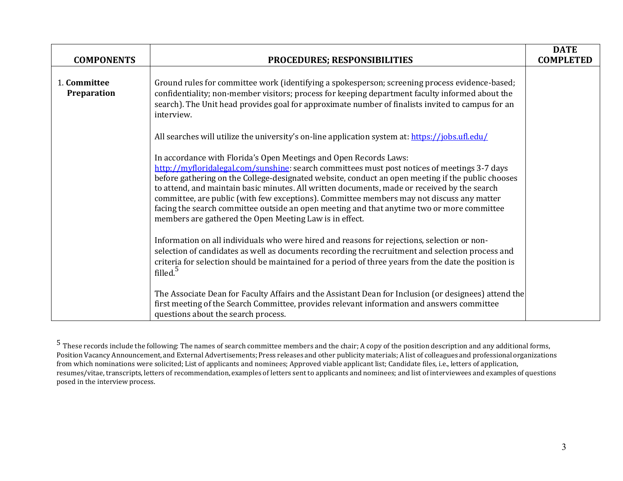| <b>COMPONENTS</b>           | PROCEDURES; RESPONSIBILITIES                                                                                                                                                                                                                                                                                                                                                                                                                                                                                                                                                                                                 | <b>DATE</b><br><b>COMPLETED</b> |
|-----------------------------|------------------------------------------------------------------------------------------------------------------------------------------------------------------------------------------------------------------------------------------------------------------------------------------------------------------------------------------------------------------------------------------------------------------------------------------------------------------------------------------------------------------------------------------------------------------------------------------------------------------------------|---------------------------------|
| 1. Committee<br>Preparation | Ground rules for committee work (identifying a spokesperson; screening process evidence-based;<br>confidentiality; non-member visitors; process for keeping department faculty informed about the<br>search). The Unit head provides goal for approximate number of finalists invited to campus for an<br>interview.                                                                                                                                                                                                                                                                                                         |                                 |
|                             | All searches will utilize the university's on-line application system at: https://jobs.ufl.edu/                                                                                                                                                                                                                                                                                                                                                                                                                                                                                                                              |                                 |
|                             | In accordance with Florida's Open Meetings and Open Records Laws:<br>http://myfloridalegal.com/sunshine: search committees must post notices of meetings 3-7 days<br>before gathering on the College-designated website, conduct an open meeting if the public chooses<br>to attend, and maintain basic minutes. All written documents, made or received by the search<br>committee, are public (with few exceptions). Committee members may not discuss any matter<br>facing the search committee outside an open meeting and that anytime two or more committee<br>members are gathered the Open Meeting Law is in effect. |                                 |
|                             | Information on all individuals who were hired and reasons for rejections, selection or non-<br>selection of candidates as well as documents recording the recruitment and selection process and<br>criteria for selection should be maintained for a period of three years from the date the position is<br>filled. <sup>5</sup>                                                                                                                                                                                                                                                                                             |                                 |
|                             | The Associate Dean for Faculty Affairs and the Assistant Dean for Inclusion (or designees) attend the<br>first meeting of the Search Committee, provides relevant information and answers committee<br>questions about the search process.                                                                                                                                                                                                                                                                                                                                                                                   |                                 |

 $^5$  These records include the following: The names of search committee members and the chair; A copy of the position description and any additional forms, Position Vacancy Announcement, and External Advertisements; Press releases and other publicity materials; A list of colleagues and professional organizations from which nominations were solicited; List of applicants and nominees; Approved viable applicant list; Candidate files, i.e., letters of application, resumes/vitae, transcripts, letters of recommendation, examples of letters sent to applicants and nominees; and list of interviewees and examples of questions posed in the interview process.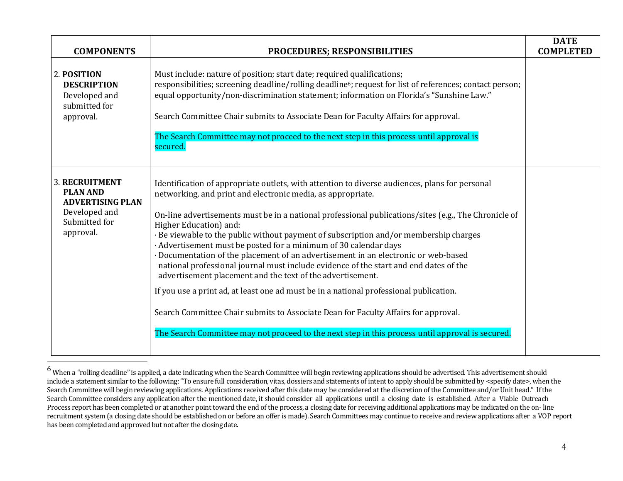| <b>COMPONENTS</b>                                                                                                  | PROCEDURES; RESPONSIBILITIES                                                                                                                                                                                                                                                                                                                                                                                                                                                                                                                                                                                                                                                                                                                                                                                                                                                                                                                                                                  | <b>DATE</b><br><b>COMPLETED</b> |
|--------------------------------------------------------------------------------------------------------------------|-----------------------------------------------------------------------------------------------------------------------------------------------------------------------------------------------------------------------------------------------------------------------------------------------------------------------------------------------------------------------------------------------------------------------------------------------------------------------------------------------------------------------------------------------------------------------------------------------------------------------------------------------------------------------------------------------------------------------------------------------------------------------------------------------------------------------------------------------------------------------------------------------------------------------------------------------------------------------------------------------|---------------------------------|
| 2. POSITION<br><b>DESCRIPTION</b><br>Developed and<br>submitted for<br>approval.                                   | Must include: nature of position; start date; required qualifications;<br>responsibilities; screening deadline/rolling deadline6; request for list of references; contact person;<br>equal opportunity/non-discrimination statement; information on Florida's "Sunshine Law."<br>Search Committee Chair submits to Associate Dean for Faculty Affairs for approval.<br>The Search Committee may not proceed to the next step in this process until approval is<br>secured.                                                                                                                                                                                                                                                                                                                                                                                                                                                                                                                    |                                 |
| <b>3. RECRUITMENT</b><br><b>PLAN AND</b><br><b>ADVERTISING PLAN</b><br>Developed and<br>Submitted for<br>approval. | Identification of appropriate outlets, with attention to diverse audiences, plans for personal<br>networking, and print and electronic media, as appropriate.<br>On-line advertisements must be in a national professional publications/sites (e.g., The Chronicle of<br>Higher Education) and:<br>· Be viewable to the public without payment of subscription and/or membership charges<br>· Advertisement must be posted for a minimum of 30 calendar days<br>· Documentation of the placement of an advertisement in an electronic or web-based<br>national professional journal must include evidence of the start and end dates of the<br>advertisement placement and the text of the advertisement.<br>If you use a print ad, at least one ad must be in a national professional publication.<br>Search Committee Chair submits to Associate Dean for Faculty Affairs for approval.<br>The Search Committee may not proceed to the next step in this process until approval is secured. |                                 |

 $^6$  When a "rolling deadline" is applied, a date indicating when the Search Committee will begin reviewing applications should be advertised. This advertisement should include a statement similar to the following: "To ensure full consideration, vitas, dossiers and statements of intent to apply should be submitted by <specify date>, when the Search Committee will begin reviewing applications. Applications received after this date may be considered at the discretion of the Committee and/or Unit head." If the Search Committee considers any application after the mentioned date, it should consider all applications until a closing date is established. After a Viable Outreach Process report has been completed or at another point toward the end of the process, a closing date for receiving additional applications may be indicated on the on- line recruitment system (a closing date should be established on or before an offer is made). Search Committees may continue to receive and review applications after a VOP report has been completed and approved but not after the closingdate.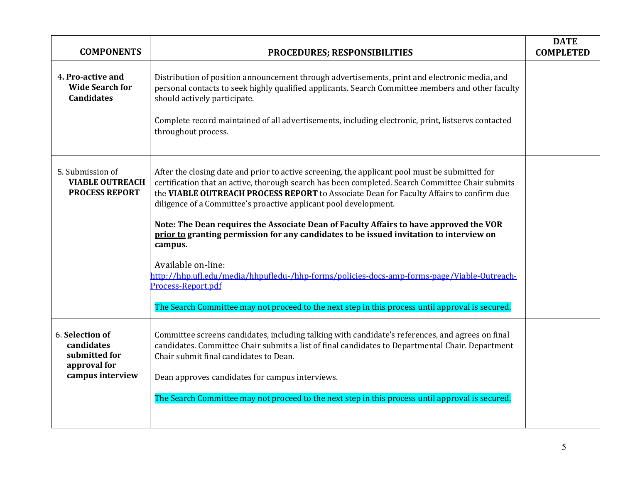| <b>COMPONENTS</b>                                                                  | PROCEDURES; RESPONSIBILITIES                                                                                                                                                                                                                                                                                                                                                                                                                                                                                                                                                                                                                                                                                                                                                                                     | <b>DATE</b><br><b>COMPLETED</b> |
|------------------------------------------------------------------------------------|------------------------------------------------------------------------------------------------------------------------------------------------------------------------------------------------------------------------------------------------------------------------------------------------------------------------------------------------------------------------------------------------------------------------------------------------------------------------------------------------------------------------------------------------------------------------------------------------------------------------------------------------------------------------------------------------------------------------------------------------------------------------------------------------------------------|---------------------------------|
| 4. Pro-active and<br><b>Wide Search for</b><br><b>Candidates</b>                   | Distribution of position announcement through advertisements, print and electronic media, and<br>personal contacts to seek highly qualified applicants. Search Committee members and other faculty<br>should actively participate.<br>Complete record maintained of all advertisements, including electronic, print, listservs contacted<br>throughout process.                                                                                                                                                                                                                                                                                                                                                                                                                                                  |                                 |
| 5. Submission of<br><b>VIABLE OUTREACH</b><br><b>PROCESS REPORT</b>                | After the closing date and prior to active screening, the applicant pool must be submitted for<br>certification that an active, thorough search has been completed. Search Committee Chair submits<br>the VIABLE OUTREACH PROCESS REPORT to Associate Dean for Faculty Affairs to confirm due<br>diligence of a Committee's proactive applicant pool development.<br>Note: The Dean requires the Associate Dean of Faculty Affairs to have approved the VOR<br>prior to granting permission for any candidates to be issued invitation to interview on<br>campus.<br>Available on-line:<br>http://hhp.ufl.edu/media/hhpufledu-/hhp-forms/policies-docs-amp-forms-page/Viable-Outreach-<br>Process-Report.pdf<br>The Search Committee may not proceed to the next step in this process until approval is secured. |                                 |
| 6. Selection of<br>candidates<br>submitted for<br>approval for<br>campus interview | Committee screens candidates, including talking with candidate's references, and agrees on final<br>candidates. Committee Chair submits a list of final candidates to Departmental Chair. Department<br>Chair submit final candidates to Dean.<br>Dean approves candidates for campus interviews.<br>The Search Committee may not proceed to the next step in this process until approval is secured.                                                                                                                                                                                                                                                                                                                                                                                                            |                                 |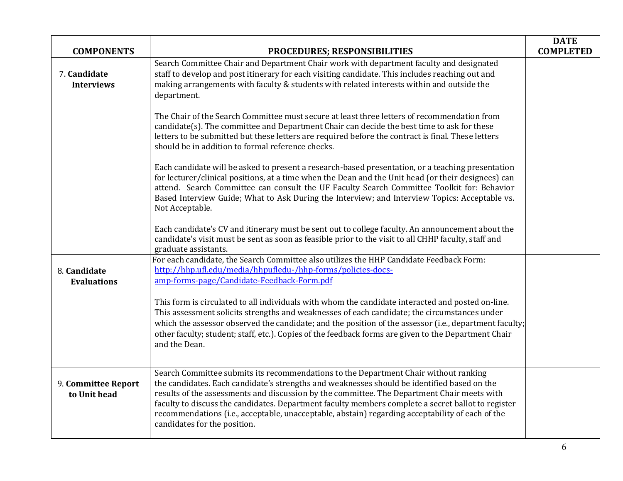| <b>COMPONENTS</b>                   | PROCEDURES; RESPONSIBILITIES                                                                                                                                                                                                                                                                                                                                                                                                                                                                                                 | <b>DATE</b><br><b>COMPLETED</b> |
|-------------------------------------|------------------------------------------------------------------------------------------------------------------------------------------------------------------------------------------------------------------------------------------------------------------------------------------------------------------------------------------------------------------------------------------------------------------------------------------------------------------------------------------------------------------------------|---------------------------------|
| 7. Candidate<br><b>Interviews</b>   | Search Committee Chair and Department Chair work with department faculty and designated<br>staff to develop and post itinerary for each visiting candidate. This includes reaching out and<br>making arrangements with faculty & students with related interests within and outside the<br>department.                                                                                                                                                                                                                       |                                 |
|                                     | The Chair of the Search Committee must secure at least three letters of recommendation from<br>candidate(s). The committee and Department Chair can decide the best time to ask for these<br>letters to be submitted but these letters are required before the contract is final. These letters<br>should be in addition to formal reference checks.                                                                                                                                                                         |                                 |
|                                     | Each candidate will be asked to present a research-based presentation, or a teaching presentation<br>for lecturer/clinical positions, at a time when the Dean and the Unit head (or their designees) can<br>attend. Search Committee can consult the UF Faculty Search Committee Toolkit for: Behavior<br>Based Interview Guide; What to Ask During the Interview; and Interview Topics: Acceptable vs.<br>Not Acceptable.                                                                                                   |                                 |
|                                     | Each candidate's CV and itinerary must be sent out to college faculty. An announcement about the<br>candidate's visit must be sent as soon as feasible prior to the visit to all CHHP faculty, staff and<br>graduate assistants.                                                                                                                                                                                                                                                                                             |                                 |
| 8. Candidate<br><b>Evaluations</b>  | For each candidate, the Search Committee also utilizes the HHP Candidate Feedback Form:<br>http://hhp.ufl.edu/media/hhpufledu-/hhp-forms/policies-docs-<br>amp-forms-page/Candidate-Feedback-Form.pdf                                                                                                                                                                                                                                                                                                                        |                                 |
|                                     | This form is circulated to all individuals with whom the candidate interacted and posted on-line.<br>This assessment solicits strengths and weaknesses of each candidate; the circumstances under<br>which the assessor observed the candidate; and the position of the assessor (i.e., department faculty;<br>other faculty; student; staff, etc.). Copies of the feedback forms are given to the Department Chair<br>and the Dean.                                                                                         |                                 |
| 9. Committee Report<br>to Unit head | Search Committee submits its recommendations to the Department Chair without ranking<br>the candidates. Each candidate's strengths and weaknesses should be identified based on the<br>results of the assessments and discussion by the committee. The Department Chair meets with<br>faculty to discuss the candidates. Department faculty members complete a secret ballot to register<br>recommendations (i.e., acceptable, unacceptable, abstain) regarding acceptability of each of the<br>candidates for the position. |                                 |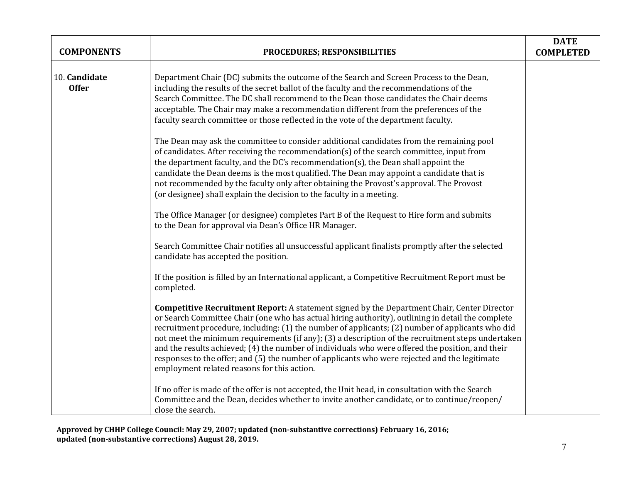| <b>COMPONENTS</b>             | PROCEDURES; RESPONSIBILITIES                                                                                                                                                                                                                                                                                                                                                                                                                                                                                                                                                                                                                                         | <b>DATE</b><br><b>COMPLETED</b> |
|-------------------------------|----------------------------------------------------------------------------------------------------------------------------------------------------------------------------------------------------------------------------------------------------------------------------------------------------------------------------------------------------------------------------------------------------------------------------------------------------------------------------------------------------------------------------------------------------------------------------------------------------------------------------------------------------------------------|---------------------------------|
| 10. Candidate<br><b>Offer</b> | Department Chair (DC) submits the outcome of the Search and Screen Process to the Dean,<br>including the results of the secret ballot of the faculty and the recommendations of the<br>Search Committee. The DC shall recommend to the Dean those candidates the Chair deems<br>acceptable. The Chair may make a recommendation different from the preferences of the<br>faculty search committee or those reflected in the vote of the department faculty.                                                                                                                                                                                                          |                                 |
|                               | The Dean may ask the committee to consider additional candidates from the remaining pool<br>of candidates. After receiving the recommendation(s) of the search committee, input from<br>the department faculty, and the DC's recommendation(s), the Dean shall appoint the<br>candidate the Dean deems is the most qualified. The Dean may appoint a candidate that is<br>not recommended by the faculty only after obtaining the Provost's approval. The Provost<br>(or designee) shall explain the decision to the faculty in a meeting.                                                                                                                           |                                 |
|                               | The Office Manager (or designee) completes Part B of the Request to Hire form and submits<br>to the Dean for approval via Dean's Office HR Manager.                                                                                                                                                                                                                                                                                                                                                                                                                                                                                                                  |                                 |
|                               | Search Committee Chair notifies all unsuccessful applicant finalists promptly after the selected<br>candidate has accepted the position.                                                                                                                                                                                                                                                                                                                                                                                                                                                                                                                             |                                 |
|                               | If the position is filled by an International applicant, a Competitive Recruitment Report must be<br>completed.                                                                                                                                                                                                                                                                                                                                                                                                                                                                                                                                                      |                                 |
|                               | <b>Competitive Recruitment Report:</b> A statement signed by the Department Chair, Center Director<br>or Search Committee Chair (one who has actual hiring authority), outlining in detail the complete<br>recruitment procedure, including: (1) the number of applicants; (2) number of applicants who did<br>not meet the minimum requirements (if any); (3) a description of the recruitment steps undertaken<br>and the results achieved; (4) the number of individuals who were offered the position, and their<br>responses to the offer; and (5) the number of applicants who were rejected and the legitimate<br>employment related reasons for this action. |                                 |
|                               | If no offer is made of the offer is not accepted, the Unit head, in consultation with the Search<br>Committee and the Dean, decides whether to invite another candidate, or to continue/reopen/<br>close the search.                                                                                                                                                                                                                                                                                                                                                                                                                                                 |                                 |